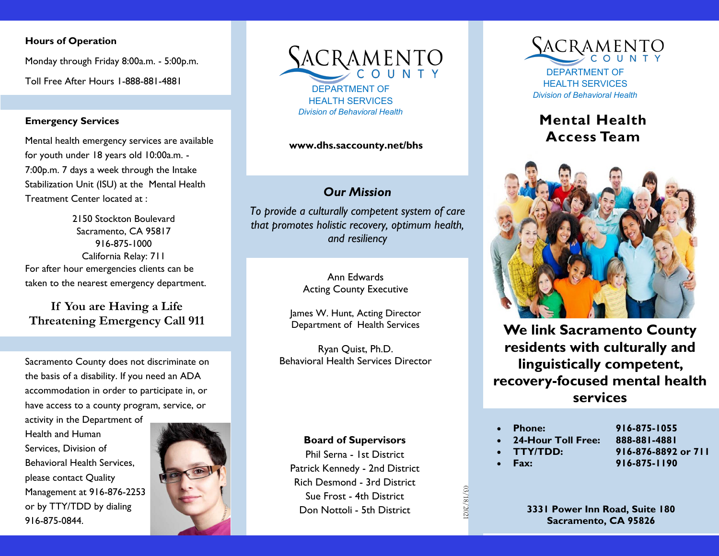#### **Hours of Operation**

Monday through Friday 8:00a.m. - 5:00p.m. Toll Free After Hours 1-888-881-4881

#### **Emergency Services**

Mental health emergency services are available for youth under 18 years old 10:00a.m. - 7:00p.m. 7 days a week through the Intake Stabilization Unit (ISU) at the Mental Health Treatment Center located at :

2150 Stockton Boulevard Sacramento, CA 95817 916-875-1000 California Relay: 711 For after hour emergencies clients can be taken to the nearest emergency department.

**If You are Having a Life Threatening Emergency Call 911**

Sacramento County does not discriminate on the basis of a disability. If you need an ADA accommodation in order to participate in, or have access to a county program, service, or

activity in the Department of Health and Human Services, Division of Behavioral Health Services, please contact Quality Management at 916-876-2253 or by TTY/TDD by dialing 916-875-0844.





#### *Our Mission*

*To provide a culturally competent system of care that promotes holistic recovery, optimum health, and resiliency*

> Ann Edwards Acting County Executive

James W. Hunt, Acting Director Department of Health Services

Ryan Quist, Ph.D. Behavioral Health Services Director

#### **Board of Supervisors**

Phil Serna - 1st District Patrick Kennedy - 2nd District Rich Desmond - 3rd District Sue Frost - 4th District Don Nottoli - 5th District

03/18/2021

03/18/202



HEALTH SERVICES

# **Mental Health Access Team www.dhs.saccounty.net/bhs**



**We link Sacramento County residents with culturally and linguistically competent, recovery-focused mental health services**

| <b>Phone:</b>        | 916-875-1055        |
|----------------------|---------------------|
| • 24-Hour Toll Free: | 888-881-4881        |
| • TTY/TDD:           | 916-876-8892 or 711 |
| Fax:                 | 916-875-1190        |
|                      |                     |
|                      |                     |
|                      |                     |

**3331 Power Inn Road, Suite 180 Sacramento, CA 95826**